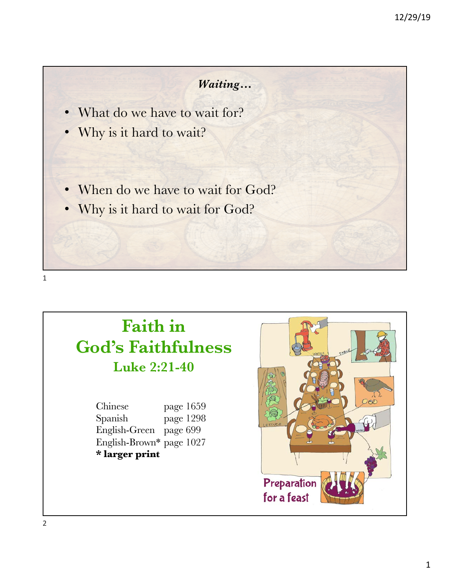#### *Waiting…*

- What do we have to wait for?
- Why is it hard to wait?
- When do we have to wait for God?
- Why is it hard to wait for God?

# **Faith in God's Faithfulness Luke 2:21-40**

Chinese page 1659 Spanish page 1298 English-Green page 699 English-Brown\* page 1027 **\* larger print**

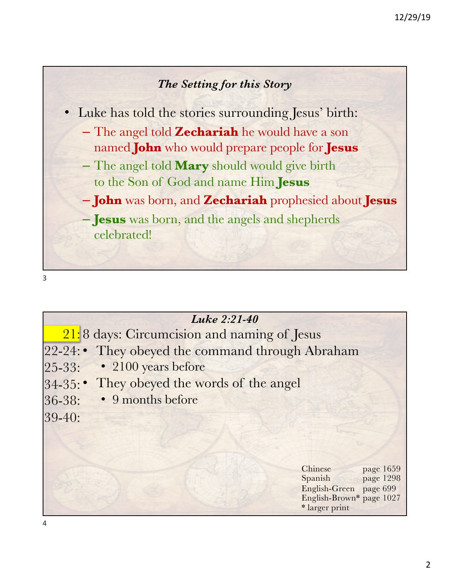

• Luke has told the stories surrounding Jesus' birth:

- The angel told **Zechariah** he would have a son named **John** who would prepare people for **Jesus**
- The angel told **Mary** should would give birth to the Son of God and name Him **Jesus**
- **John** was born, and **Zechariah** prophesied about **Jesus**
- **Jesus** was born, and the angels and shepherds celebrated!

| Luke 2:21-40                                     |                                                                                                                      |
|--------------------------------------------------|----------------------------------------------------------------------------------------------------------------------|
| $21:8$ days: Circumcision and naming of Jesus    |                                                                                                                      |
| 22-24: • They obeyed the command through Abraham |                                                                                                                      |
| • 2100 years before<br>$ 25 - 33:$               |                                                                                                                      |
| 34-35: • They obeyed the words of the angel      |                                                                                                                      |
| • 9 months before<br>$ 36-38:$                   |                                                                                                                      |
| $ 39-40:$                                        |                                                                                                                      |
|                                                  |                                                                                                                      |
|                                                  |                                                                                                                      |
|                                                  | Chinese<br>page 1659<br>page 1298<br>Spanish<br>English-Green page 699<br>English-Brown* page 1027<br>* larger print |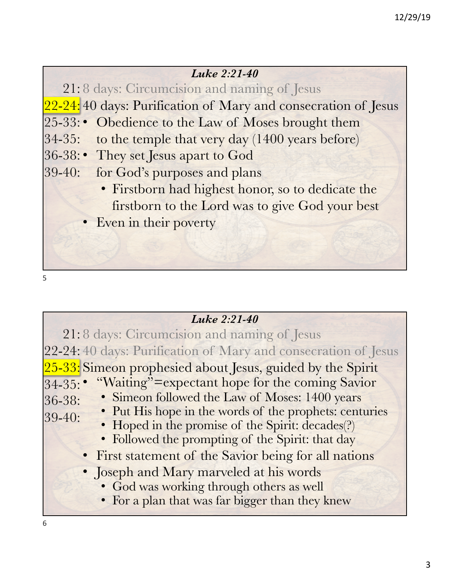#### *Luke 2:21-40*

21: 8 days: Circumcision and naming of Jesus

22-24: 40 days: Purification of Mary and consecration of Jesus

- 25-33: Obedience to the Law of Moses brought them
- 34-35: to the temple that very day (1400 years before)
- 36-38: They set Jesus apart to God
- 39-40: for God's purposes and plans
	- Firstborn had highest honor, so to dedicate the firstborn to the Lord was to give God your best
	- Even in their poverty

| Luke 2:21-40                                                         |
|----------------------------------------------------------------------|
| 21:8 days: Circumcision and naming of Jesus                          |
| 22-24:40 days: Purification of Mary and consecration of Jesus        |
| $\sqrt{25-33}$ : Simeon prophesied about Jesus, guided by the Spirit |
| 34-35: • "Waiting"=expectant hope for the coming Savior              |
| • Simeon followed the Law of Moses: 1400 years<br>$ 36 - 38:$        |
| • Put His hope in the words of the prophets: centuries<br>$ 39-40:$  |
| • Hoped in the promise of the Spirit: decades(?)                     |
| • Followed the prompting of the Spirit: that day                     |
| • First statement of the Savior being for all nations                |
| • Joseph and Mary marveled at his words                              |
| • God was working through others as well                             |
| • For a plan that was far bigger than they knew                      |
|                                                                      |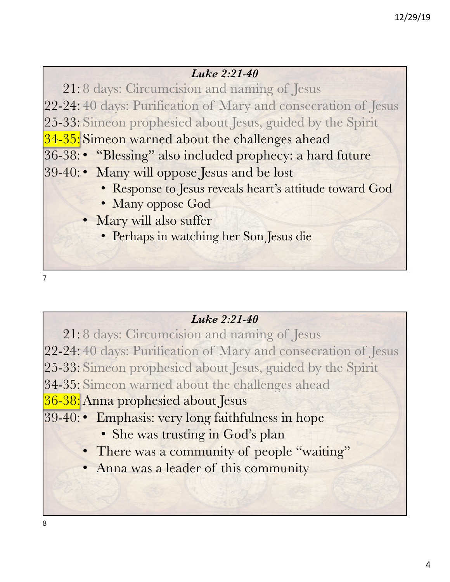#### *Luke 2:21-40*

21: 8 days: Circumcision and naming of Jesus 22-24: 40 days: Purification of Mary and consecration of Jesus 25-33: Simeon prophesied about Jesus, guided by the Spirit 34-35: Simeon warned about the challenges ahead 36-38: • "Blessing" also included prophecy: a hard future 39-40: • Many will oppose Jesus and be lost • Response to Jesus reveals heart's attitude toward God • Many oppose God Mary will also suffer

- Perhaps in watching her Son Jesus die
- 7

### *Luke 2:21-40*

21: 8 days: Circumcision and naming of Jesus 22-24: 40 days: Purification of Mary and consecration of Jesus 25-33: Simeon prophesied about Jesus, guided by the Spirit 34-35: Simeon warned about the challenges ahead <mark>36-38:</mark> Anna prophesied about Jesus 39-40: • Emphasis: very long faithfulness in hope • She was trusting in God's plan • There was a community of people "waiting" • Anna was a leader of this community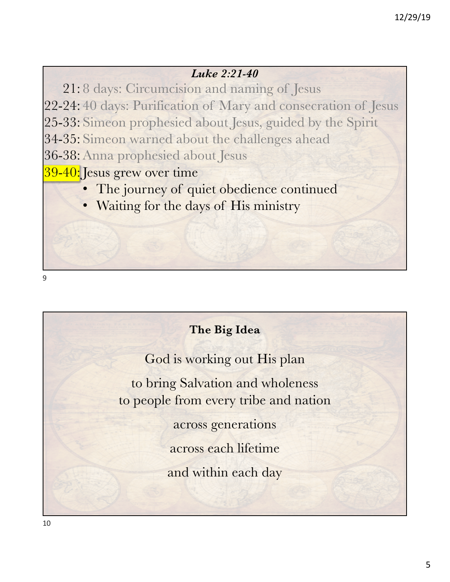#### *Luke 2:21-40*

21: 8 days: Circumcision and naming of Jesus 22-24: 40 days: Purification of Mary and consecration of Jesus 25-33: Simeon prophesied about Jesus, guided by the Spirit 34-35: Simeon warned about the challenges ahead 36-38: Anna prophesied about Jesus 39-40: Jesus grew over time

- The journey of quiet obedience continued
- Waiting for the days of His ministry

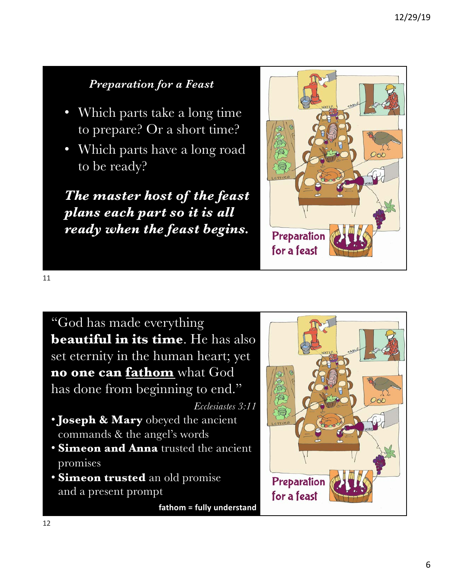## *Preparation for a Feast*

- Which parts take a long time to prepare? Or a short time?
- Which parts have a long road to be ready?

*The master host of the feast plans each part so it is all ready when the feast begins.*



11

"God has made everything **beautiful in its time**. He has also set eternity in the human heart; yet **no one can fathom** what God has done from beginning to end."

*Ecclesiastes 3:11*

- **Joseph & Mary** obeyed the ancient commands & the angel's words
- **Simeon and Anna** trusted the ancient promises
- **Simeon trusted** an old promise and a present prompt

**fathom = fully understand**

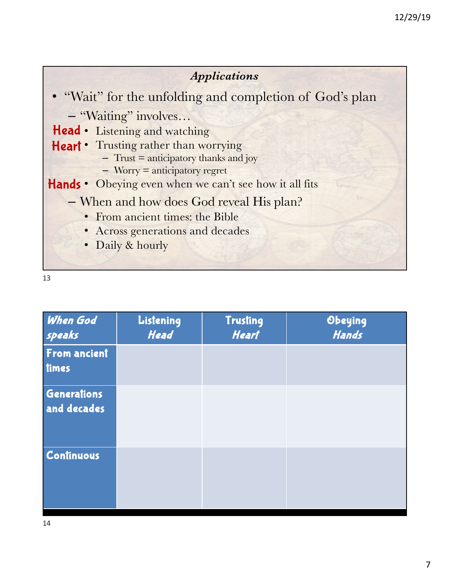

| When God<br>speaks           | Listening<br><b>Head</b> | <b>Trusting</b><br><b>Heart</b> | Obeying<br>Hands |
|------------------------------|--------------------------|---------------------------------|------------------|
| <b>From ancient</b><br>times |                          |                                 |                  |
| Generations<br>and decades   |                          |                                 |                  |
| Continuous                   |                          |                                 |                  |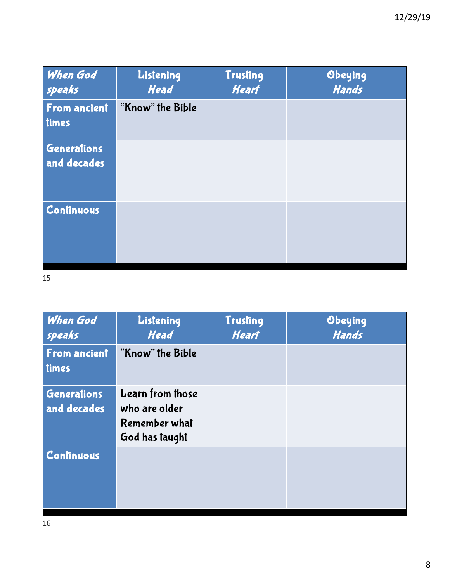| <b>When God</b><br>speaks         | Listening<br><b>Head</b> | <b>Trusting</b><br><b>Heart</b> | Obeying<br>Hands |
|-----------------------------------|--------------------------|---------------------------------|------------------|
| From ancient<br>times             | "Know" the Bible         |                                 |                  |
| <b>Generations</b><br>and decades |                          |                                 |                  |
| Continuous                        |                          |                                 |                  |

| <b>When God</b><br>speaks         | Listening<br><b>Head</b>                                             | <b>Trusting</b><br><b>Heart</b> | Obeying<br>Hands |
|-----------------------------------|----------------------------------------------------------------------|---------------------------------|------------------|
| From ancient<br>times             | "Know" the Bible                                                     |                                 |                  |
| <b>Generations</b><br>and decades | Learn from those<br>who are older<br>Remember what<br>God has taught |                                 |                  |
| <b>Continuous</b>                 |                                                                      |                                 |                  |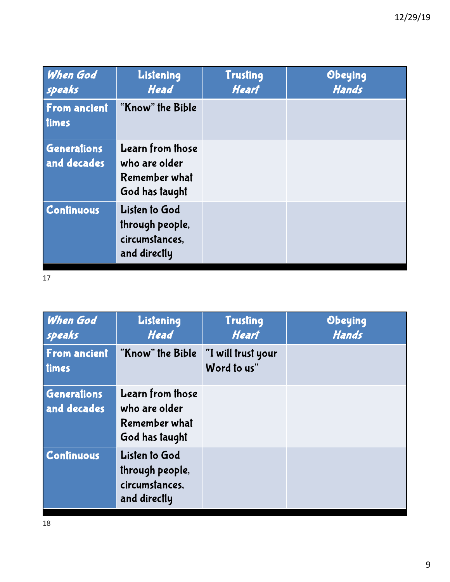| <b>When God</b><br>speaks         | Listening<br><b>Head</b>                                             | <b>Trusting</b><br><b>Heart</b> | Obeying<br>Hands |
|-----------------------------------|----------------------------------------------------------------------|---------------------------------|------------------|
| From ancient<br>times             | "Know" the Bible                                                     |                                 |                  |
| <b>Generations</b><br>and decades | Learn from those<br>who are older<br>Remember what<br>God has taught |                                 |                  |
| Continuous                        | Listen to God<br>through people,<br>circumstances,<br>and directly   |                                 |                  |

| When God<br>speaks           | Listening<br><b>Head</b>                                             | <b>Trusting</b><br><b>Heart</b>   | Obeying<br>Hands |
|------------------------------|----------------------------------------------------------------------|-----------------------------------|------------------|
| <b>From ancient</b><br>times | "Know" the Bible                                                     | "I will trust your<br>Word to us" |                  |
| Generations<br>and decades   | Learn from those<br>who are older<br>Remember what<br>God has taught |                                   |                  |
| <b>Continuous</b>            | Listen to God<br>through people,<br>circumstances,<br>and directly   |                                   |                  |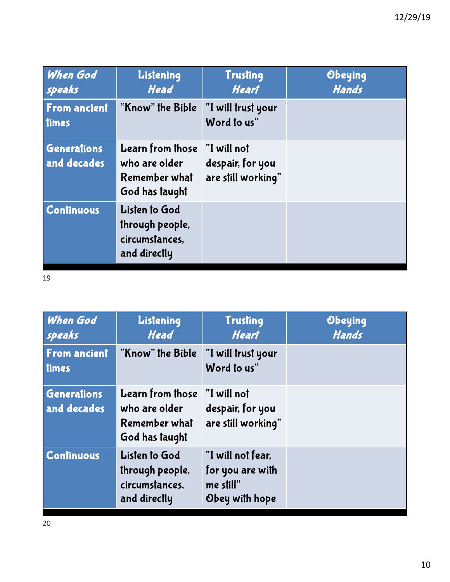| <b>When God</b><br>speaks         | Listening<br><b>Head</b>                                                  | <b>Trusting</b><br><b>Heart</b>                       | Obeying<br>Hands |
|-----------------------------------|---------------------------------------------------------------------------|-------------------------------------------------------|------------------|
| From ancient<br>times             | "Know" the Bible                                                          | "I will trust your<br>Word to us"                     |                  |
| <b>Generations</b><br>and decades | Learn from those<br>who are older<br>Remember what<br>God has taught      | "I will not<br>despair, for you<br>are still working" |                  |
| <b>Continuous</b>                 | <b>Listen to God</b><br>through people,<br>circumstances,<br>and directly |                                                       |                  |

| When God<br>speaks           | Listening<br><b>Head</b>                                                    | <b>Trusting</b><br><b>Heart</b>                                      | Obeying<br>Hands |
|------------------------------|-----------------------------------------------------------------------------|----------------------------------------------------------------------|------------------|
| <b>From ancient</b><br>times | "Know" the Bible                                                            | "I will trust your<br>Word to us"                                    |                  |
| Generations<br>and decades   | <b>Learn from those</b><br>who are older<br>Remember what<br>God has taught | "I will not<br>despair, for you<br>are still working"                |                  |
| <b>Continuous</b>            | <b>Listen to God</b><br>through people,<br>circumstances,<br>and directly   | "I will not fear,<br>for you are with<br>me still"<br>Obey with hope |                  |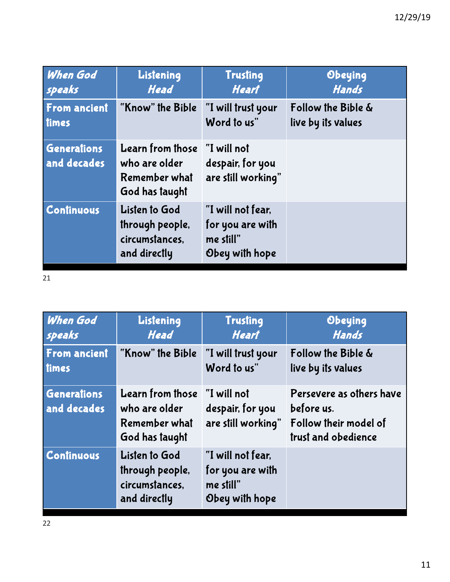| <b>When God</b>                   | Listening                                                                 | <b>Trusting</b>                                                      | Obeying            |
|-----------------------------------|---------------------------------------------------------------------------|----------------------------------------------------------------------|--------------------|
| speaks                            | <b>Head</b>                                                               | <b>Heart</b>                                                         | <b>Hands</b>       |
| From ancient                      | "Know" the Bible                                                          | "I will trust your                                                   | Follow the Bible & |
| times                             |                                                                           | Word to us"                                                          | live by its values |
| <b>Generations</b><br>and decades | Learn from those<br>who are older<br>Remember what<br>God has taught      | "I will not<br>despair, for you<br>are still working"                |                    |
| <b>Continuous</b>                 | <b>Listen to God</b><br>through people,<br>circumstances,<br>and directly | "I will not fear,<br>for you are with<br>me still"<br>Obey with hope |                    |

 $\overline{21}$ 

| When God                   | Listening                                                                 | <b>Trusting</b>                                                      | Obeying                                                                                |
|----------------------------|---------------------------------------------------------------------------|----------------------------------------------------------------------|----------------------------------------------------------------------------------------|
| speaks                     | <b>Head</b>                                                               | <b>Heart</b>                                                         | <b>Hands</b>                                                                           |
| <b>From ancient</b>        | "Know" the Bible                                                          | "I will trust your                                                   | Follow the Bible &                                                                     |
| times                      |                                                                           | Word to us"                                                          | live by its values                                                                     |
| Generations<br>and decades | Learn from those<br>who are older<br>Remember what<br>God has taught      | "I will not<br>despair, for you<br>are still working"                | Persevere as others have<br>before us.<br>Follow their model of<br>trust and obedience |
| <b>Continuous</b>          | <b>Listen to God</b><br>through people,<br>circumstances,<br>and directly | "I will not fear.<br>for you are with<br>me still"<br>Obey with hope |                                                                                        |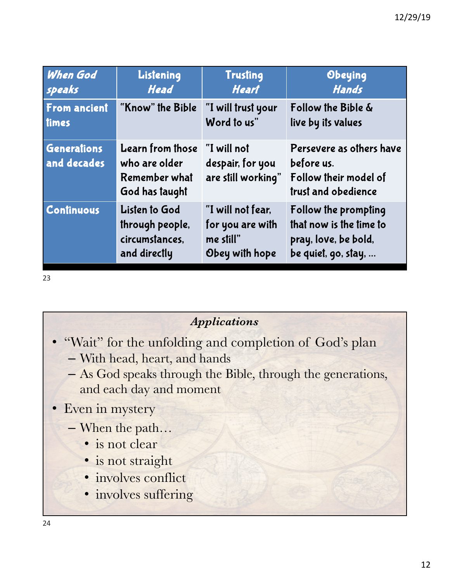| <b>When God</b>                   | Listening                                                            | <b>Trusting</b>                                       | Obeying                                                                                |
|-----------------------------------|----------------------------------------------------------------------|-------------------------------------------------------|----------------------------------------------------------------------------------------|
| speaks                            | <b>Head</b>                                                          | <b>Heart</b>                                          | Hands                                                                                  |
| From ancient                      | "Know" the Bible                                                     | "I will trust your                                    | Follow the Bible &                                                                     |
| times                             |                                                                      | Word to us"                                           | live by its values                                                                     |
| <b>Generations</b><br>and decades | Learn from those<br>who are older<br>Remember what<br>God has taught | "I will not<br>despair, for you<br>are still working" | Persevere as others have<br>before us.<br>Follow their model of<br>trust and obedience |
| <b>Continuous</b>                 | <b>Listen to God</b>                                                 | "I will not fear,                                     | Follow the prompting                                                                   |
|                                   | through people,                                                      | for you are with                                      | that now is the time to                                                                |
|                                   | circumstances,                                                       | me still"                                             | pray, love, be bold,                                                                   |
|                                   | and directly                                                         | Obey with hope                                        | be quiet, go, stay,                                                                    |

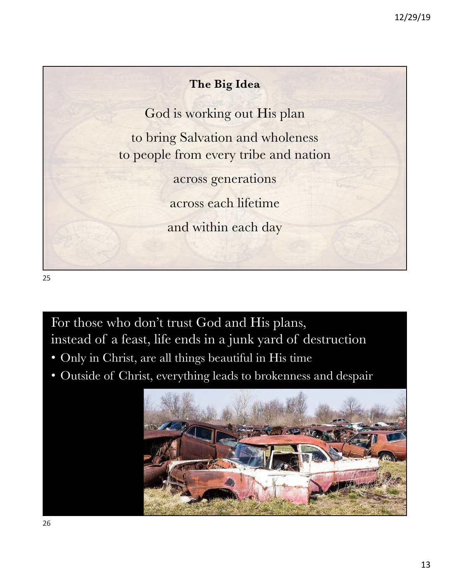## **The Big Idea**

God is working out His plan

to bring Salvation and wholeness to people from every tribe and nation

across generations

across each lifetime

and within each day

25

For those who don't trust God and His plans, instead of a feast, life ends in a junk yard of destruction

- Only in Christ, are all things beautiful in His time
- Outside of Christ, everything leads to brokenness and despair

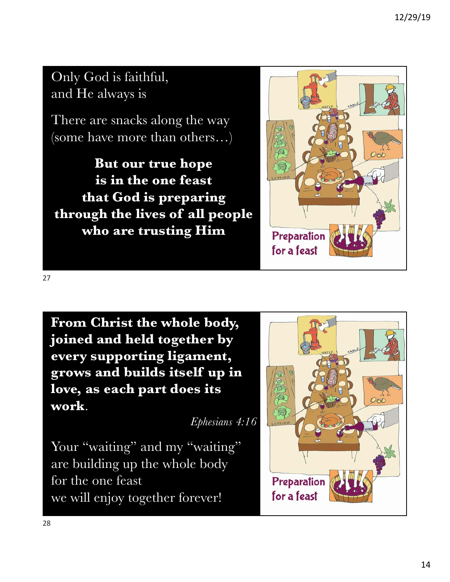## Only God is faithful, and He always is

There are snacks along the way (some have more than others…)

**But our true hope is in the one feast that God is preparing through the lives of all people who are trusting Him**



**From Christ the whole body, joined and held together by every supporting ligament, grows and builds itself up in love, as each part does its work**.

*Ephesians 4:16*

Your "waiting" and my "waiting" are building up the whole body for the one feast we will enjoy together forever!

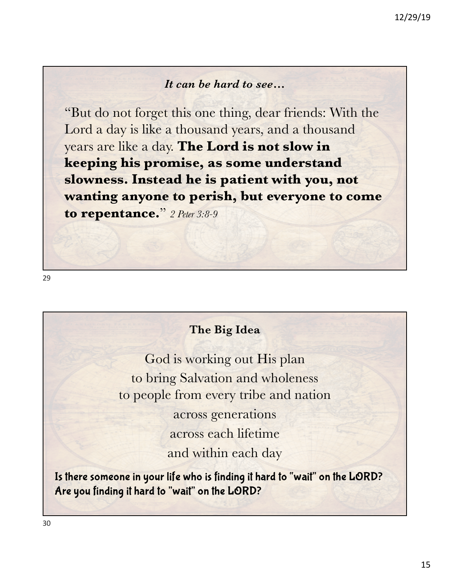#### *It can be hard to see…*

"But do not forget this one thing, dear friends: With the Lord a day is like a thousand years, and a thousand years are like a day. **The Lord is not slow in keeping his promise, as some understand slowness. Instead he is patient with you, not wanting anyone to perish, but everyone to come to repentance.**" *2 Peter 3:8-9*

#### **The Big Idea**

God is working out His plan to bring Salvation and wholeness to people from every tribe and nation across generations across each lifetime and within each day

Is there someone in your life who is finding it hard to "wait" on the LORD? Are you finding it hard to "wait" on the LORD?